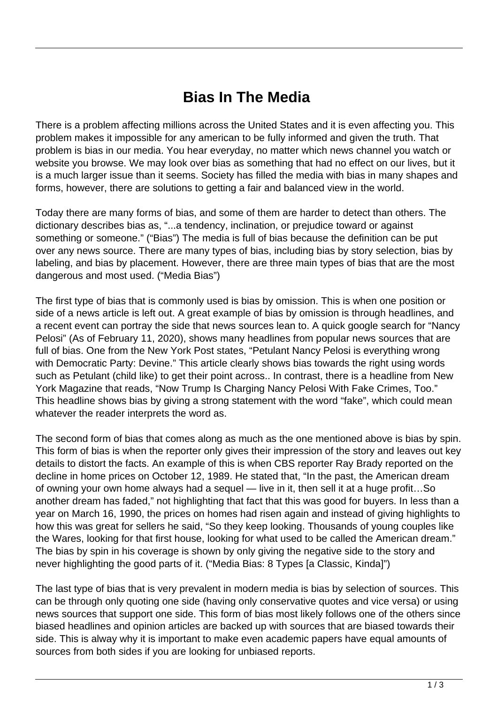## **Bias In The Media**

There is a problem affecting millions across the United States and it is even affecting you. This problem makes it impossible for any american to be fully informed and given the truth. That problem is bias in our media. You hear everyday, no matter which news channel you watch or website you browse. We may look over bias as something that had no effect on our lives, but it is a much larger issue than it seems. Society has filled the media with bias in many shapes and forms, however, there are solutions to getting a fair and balanced view in the world.

Today there are many forms of bias, and some of them are harder to detect than others. The dictionary describes bias as, "...a tendency, inclination, or prejudice toward or against something or someone." ("Bias") The media is full of bias because the definition can be put over any news source. There are many types of bias, including bias by story selection, bias by labeling, and bias by placement. However, there are three main types of bias that are the most dangerous and most used. ("Media Bias")

The first type of bias that is commonly used is bias by omission. This is when one position or side of a news article is left out. A great example of bias by omission is through headlines, and a recent event can portray the side that news sources lean to. A quick google search for "Nancy Pelosi" (As of February 11, 2020), shows many headlines from popular news sources that are full of bias. One from the New York Post states, "Petulant Nancy Pelosi is everything wrong with Democratic Party: Devine." This article clearly shows bias towards the right using words such as Petulant (child like) to get their point across.. In contrast, there is a headline from New York Magazine that reads, "Now Trump Is Charging Nancy Pelosi With Fake Crimes, Too." This headline shows bias by giving a strong statement with the word "fake", which could mean whatever the reader interprets the word as.

The second form of bias that comes along as much as the one mentioned above is bias by spin. This form of bias is when the reporter only gives their impression of the story and leaves out key details to distort the facts. An example of this is when CBS reporter Ray Brady reported on the decline in home prices on October 12, 1989. He stated that, "In the past, the American dream of owning your own home always had a sequel — live in it, then sell it at a huge profit…So another dream has faded," not highlighting that fact that this was good for buyers. In less than a year on March 16, 1990, the prices on homes had risen again and instead of giving highlights to how this was great for sellers he said, "So they keep looking. Thousands of young couples like the Wares, looking for that first house, looking for what used to be called the American dream." The bias by spin in his coverage is shown by only giving the negative side to the story and never highlighting the good parts of it. ("Media Bias: 8 Types [a Classic, Kinda]")

The last type of bias that is very prevalent in modern media is bias by selection of sources. This can be through only quoting one side (having only conservative quotes and vice versa) or using news sources that support one side. This form of bias most likely follows one of the others since biased headlines and opinion articles are backed up with sources that are biased towards their side. This is alway why it is important to make even academic papers have equal amounts of sources from both sides if you are looking for unbiased reports.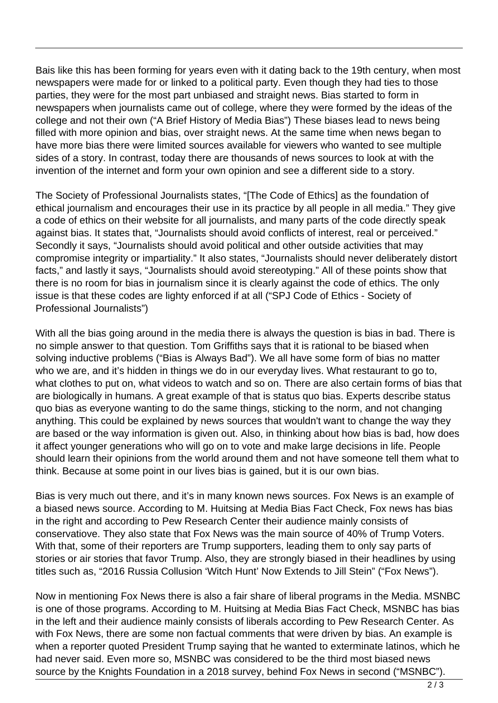Bais like this has been forming for years even with it dating back to the 19th century, when most newspapers were made for or linked to a political party. Even though they had ties to those parties, they were for the most part unbiased and straight news. Bias started to form in newspapers when journalists came out of college, where they were formed by the ideas of the college and not their own ("A Brief History of Media Bias") These biases lead to news being filled with more opinion and bias, over straight news. At the same time when news began to have more bias there were limited sources available for viewers who wanted to see multiple sides of a story. In contrast, today there are thousands of news sources to look at with the invention of the internet and form your own opinion and see a different side to a story.

The Society of Professional Journalists states, "[The Code of Ethics] as the foundation of ethical journalism and encourages their use in its practice by all people in all media." They give a code of ethics on their website for all journalists, and many parts of the code directly speak against bias. It states that, "Journalists should avoid conflicts of interest, real or perceived." Secondly it says, "Journalists should avoid political and other outside activities that may compromise integrity or impartiality." It also states, "Journalists should never deliberately distort facts," and lastly it says, "Journalists should avoid stereotyping." All of these points show that there is no room for bias in journalism since it is clearly against the code of ethics. The only issue is that these codes are lighty enforced if at all ("SPJ Code of Ethics - Society of Professional Journalists")

With all the bias going around in the media there is always the question is bias in bad. There is no simple answer to that question. Tom Griffiths says that it is rational to be biased when solving inductive problems ("Bias is Always Bad"). We all have some form of bias no matter who we are, and it's hidden in things we do in our everyday lives. What restaurant to go to, what clothes to put on, what videos to watch and so on. There are also certain forms of bias that are biologically in humans. A great example of that is status quo bias. Experts describe status quo bias as everyone wanting to do the same things, sticking to the norm, and not changing anything. This could be explained by news sources that wouldn't want to change the way they are based or the way information is given out. Also, in thinking about how bias is bad, how does it affect younger generations who will go on to vote and make large decisions in life. People should learn their opinions from the world around them and not have someone tell them what to think. Because at some point in our lives bias is gained, but it is our own bias.

Bias is very much out there, and it's in many known news sources. Fox News is an example of a biased news source. According to M. Huitsing at Media Bias Fact Check, Fox news has bias in the right and according to Pew Research Center their audience mainly consists of conservatiove. They also state that Fox News was the main source of 40% of Trump Voters. With that, some of their reporters are Trump supporters, leading them to only say parts of stories or air stories that favor Trump. Also, they are strongly biased in their headlines by using titles such as, "2016 Russia Collusion 'Witch Hunt' Now Extends to Jill Stein" ("Fox News").

Now in mentioning Fox News there is also a fair share of liberal programs in the Media. MSNBC is one of those programs. According to M. Huitsing at Media Bias Fact Check, MSNBC has bias in the left and their audience mainly consists of liberals according to Pew Research Center. As with Fox News, there are some non factual comments that were driven by bias. An example is when a reporter quoted President Trump saying that he wanted to exterminate latinos, which he had never said. Even more so, MSNBC was considered to be the third most biased news source by the Knights Foundation in a 2018 survey, behind Fox News in second ("MSNBC").